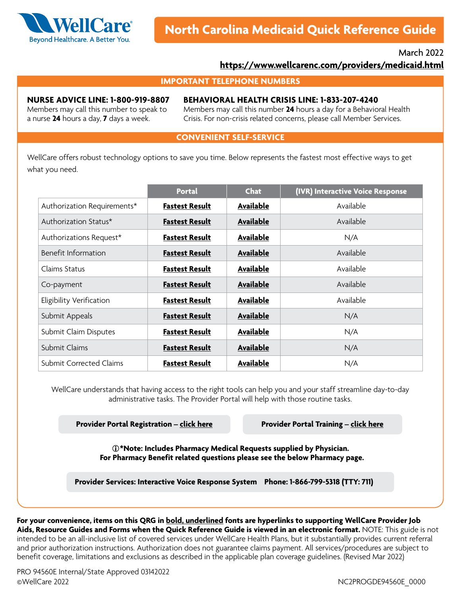

## March 2022 **<https://www.wellcarenc.com/providers/medicaid.html>**

#### **IMPORTANT TELEPHONE NUMBERS**

#### **NURSE ADVICE LINE: 1-800-919-8807**

**BEHAVIORAL HEALTH CRISIS LINE: 1-833-207-4240**

Members may call this number to speak to a nurse **24** hours a day, **7** days a week.

Members may call this number **24** hours a day for a Behavioral Health Crisis. For non-crisis related concerns, please call Member Services.

#### **CONVENIENT SELF-SERVICE**

WellCare offers robust technology options to save you time. Below represents the fastest most effective ways to get what you need.

|                                | <b>Portal</b>         | <b>Chat</b>      | (IVR) Interactive Voice Response |
|--------------------------------|-----------------------|------------------|----------------------------------|
| Authorization Requirements*    | <b>Fastest Result</b> | Available        | Available                        |
| Authorization Status*          | <b>Fastest Result</b> | Available        | Available                        |
| Authorizations Request*        | <b>Fastest Result</b> | Available        | N/A                              |
| Benefit Information            | <b>Fastest Result</b> | Available        | Available                        |
| Claims Status                  | <b>Fastest Result</b> | Available        | Available                        |
| Co-payment                     | <b>Fastest Result</b> | Available        | Available                        |
| Eligibility Verification       | <b>Fastest Result</b> | Available        | Available                        |
| Submit Appeals                 | <b>Fastest Result</b> | <b>Available</b> | N/A                              |
| Submit Claim Disputes          | <b>Fastest Result</b> | Available        | N/A                              |
| Submit Claims                  | <b>Fastest Result</b> | <b>Available</b> | N/A                              |
| <b>Submit Corrected Claims</b> | <b>Fastest Result</b> | Available        | N/A                              |

WellCare understands that having access to the right tools can help you and your staff streamline day-to-day administrative tasks. The Provider Portal will help with those routine tasks.

**Provider Portal Registration – [click here](https://provider.wellcare.com/Provider/Accounts/Registration) Provider Portal Training – [click here](https://www.wellcare.com/en/North-Carolina/Providers/Medicaid/Training/New-Provider-Portal-Overview-Training)**

**\*Note: Includes Pharmacy Medical Requests supplied by Physician. For Pharmacy Benefit related questions please see the below Pharmacy page.**

**Provider Services: Interactive Voice Response System Phone: 1-866-799-5318 (TTY: 711)**

**For your convenience, items on this QRG in bold, underlined fonts are hyperlinks to supporting WellCare Provider Job Aids, Resource Guides and Forms when the Quick Reference Guide is viewed in an electronic format.** NOTE: This guide is not intended to be an all-inclusive list of covered services under WellCare Health Plans, but it substantially provides current referral and prior authorization instructions. Authorization does not guarantee claims payment. All services/procedures are subject to benefit coverage, limitations and exclusions as described in the applicable plan coverage guidelines. (Revised Mar 2022)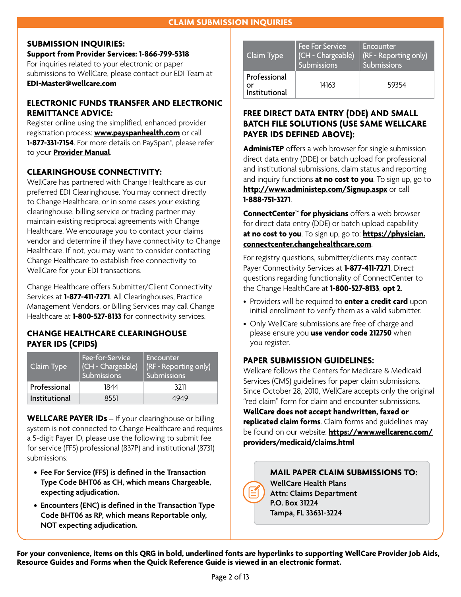## **SUBMISSION INQUIRIES:**

**Support from Provider Services: 1-866-799-5318** For inquiries related to your electronic or paper submissions to WellCare, please contact our EDI Team at **[EDI-Master@wellcare.com](mailto:EDI-Master%40wellcare.com?subject=)**

## **ELECTRONIC FUNDS TRANSFER AND ELECTRONIC REMITTANCE ADVICE:**

Register online using the simplified, enhanced provider registration process: **[www.payspanhealth.com](http://www.payspanhealth.com)** or call **1-877-331-7154**. For more details on PaySpan®, please refer to your **[Provider Manual](https://www.wellcarenc.com/providers/medicaid.html)**.

# **CLEARINGHOUSE CONNECTIVITY:**

WellCare has partnered with Change Healthcare as our preferred EDI Clearinghouse. You may connect directly to Change Healthcare, or in some cases your existing clearinghouse, billing service or trading partner may maintain existing reciprocal agreements with Change Healthcare. We encourage you to contact your claims vendor and determine if they have connectivity to Change Healthcare. If not, you may want to consider contacting Change Healthcare to establish free connectivity to WellCare for your EDI transactions.

Change Healthcare offers Submitter/Client Connectivity Services at **1-877-411-7271**. All Clearinghouses, Practice Management Vendors, or Billing Services may call Change Healthcare at **1-800-527-8133** for connectivity services.

## **CHANGE HEALTHCARE CLEARINGHOUSE PAYER IDS (CPIDS)**

| Claim Type    | Fee-for-Service<br>(CH - Chargeable)<br>Submissions | Encounter<br>(RF - Reporting only)<br>Submissions |
|---------------|-----------------------------------------------------|---------------------------------------------------|
| Professional  | 1844                                                | 3211                                              |
| Institutional | 8551                                                | 4949                                              |

**WELLCARE PAYER IDs** – If your clearinghouse or billing system is not connected to Change Healthcare and requires a 5-digit Payer ID, please use the following to submit fee for service (FFS) professional (837P) and institutional (8731) submissions:

- **• Fee For Service (FFS) is defined in the Transaction Type Code BHT06 as CH, which means Chargeable, expecting adjudication.**
- **• Encounters (ENC) is defined in the Transaction Type Code BHT06 as RP, which means Reportable only, NOT expecting adjudication.**

| Claim Type                          | <b>Fee For Service</b><br>(CH - Chargeable)<br>Submissions | Encounter<br>(RF - Reporting only)<br>Submissions |
|-------------------------------------|------------------------------------------------------------|---------------------------------------------------|
| Professional<br>Ωr<br>Institutional | 14163                                                      | 59354                                             |

# **FREE DIRECT DATA ENTRY (DDE) AND SMALL BATCH FILE SOLUTIONS (USE SAME WELLCARE PAYER IDS DEFINED ABOVE):**

**AdminisTEP** offers a web browser for single submission direct data entry (DDE) or batch upload for professional and institutional submissions, claim status and reporting and inquiry functions **at no cost to you**. To sign up, go to **<http://www.administep.com/Signup.aspx>** or call **1-888-751-3271**.

**ConnectCenter™ for physicians** offers a web browser for direct data entry (DDE) or batch upload capability **at no cost to you**. To sign up, go to: **[https://physician.](https://physician.connectcenter.changehealthcare.com) [connectcenter.changehealthcare.com](https://physician.connectcenter.changehealthcare.com)**.

For registry questions, submitter/clients may contact Payer Connectivity Services at **1-877-411-7271**. Direct questions regarding functionality of ConnectCenter to the Change HealthCare at **1-800-527-8133**, **opt 2**.

- Providers will be required to **enter a credit card** upon initial enrollment to verify them as a valid submitter.
- Only WellCare submissions are free of charge and please ensure you **use vendor code 212750** when you register.

# **PAPER SUBMISSION GUIDELINES:**

Wellcare follows the Centers for Medicare & Medicaid Services (CMS) guidelines for paper claim submissions. Since October 28, 2010, WellCare accepts only the original "red claim" form for claim and encounter submissions.

**WellCare does not accept handwritten, faxed or replicated claim forms**. Claim forms and guidelines may be found on our website: **[https://www.wellcarenc.com/](https://www.wellcarenc.com/providers/medicaid/claims.html) [providers/medicaid/claims.html](https://www.wellcarenc.com/providers/medicaid/claims.html)**

> **MAIL PAPER CLAIM SUBMISSIONS TO: WellCare Health Plans Attn: Claims Department P.O. Box 31224 Tampa, FL 33631-3224**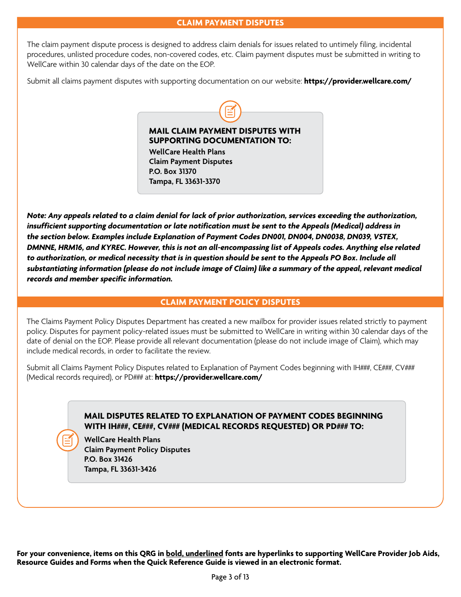The claim payment dispute process is designed to address claim denials for issues related to untimely filing, incidental procedures, unlisted procedure codes, non-covered codes, etc. Claim payment disputes must be submitted in writing to WellCare within 30 calendar days of the date on the EOP.

Submit all claims payment disputes with supporting documentation on our website: **[https://provider.wellcare.com/](https://provider.wellcare.com)**



**WellCare Health Plans Claim Payment Disputes P.O. Box 31370 Tampa, FL 33631-3370**

*Note: Any appeals related to a claim denial for lack of prior authorization, services exceeding the authorization, insufficient supporting documentation or late notification must be sent to the Appeals (Medical) address in the section below. Examples include Explanation of Payment Codes DN001, DN004, DN0038, DN039, VSTEX, DMNNE, HRM16, and KYREC. However, this is not an all-encompassing list of Appeals codes. Anything else related to authorization, or medical necessity that is in question should be sent to the Appeals PO Box. Include all substantiating information (please do not include image of Claim) like a summary of the appeal, relevant medical records and member specific information.* 

### **CLAIM PAYMENT POLICY DISPUTES**

The Claims Payment Policy Disputes Department has created a new mailbox for provider issues related strictly to payment policy. Disputes for payment policy-related issues must be submitted to WellCare in writing within 30 calendar days of the date of denial on the EOP. Please provide all relevant documentation (please do not include image of Claim), which may include medical records, in order to facilitate the review.

Submit all Claims Payment Policy Disputes related to Explanation of Payment Codes beginning with IH###, CE###, CV### (Medical records required), or PD### at: **<https://provider.wellcare.com/>**

## **MAIL DISPUTES RELATED TO EXPLANATION OF PAYMENT CODES BEGINNING WITH IH###, CE###, CV### (MEDICAL RECORDS REQUESTED) OR PD### TO:**

**WellCare Health Plans Claim Payment Policy Disputes P.O. Box 31426 Tampa, FL 33631-3426**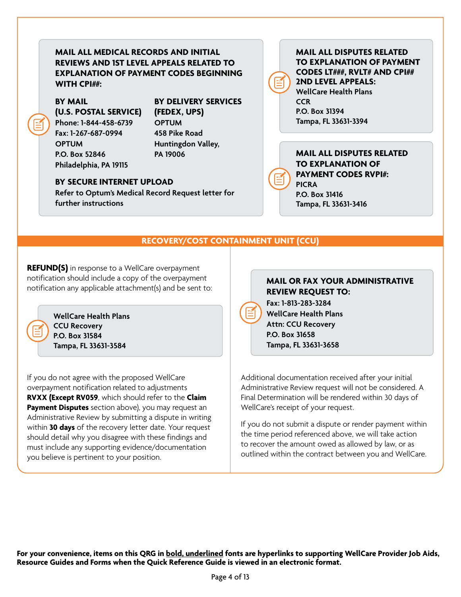**MAIL ALL MEDICAL RECORDS AND INITIAL REVIEWS AND 1ST LEVEL APPEALS RELATED TO EXPLANATION OF PAYMENT CODES BEGINNING WITH CPI##:**

# **BY MAIL**

**(U.S. POSTAL SERVICE) Phone: 1-844-458-6739 Fax: 1-267-687-0994 OPTUM P.O. Box 52846 Philadelphia, PA 19115**

**BY DELIVERY SERVICES (FEDEX, UPS) OPTUM**

**458 Pike Road Huntingdon Valley, PA 19006**

### **BY SECURE INTERNET UPLOAD**

**Refer to Optum's Medical Record Request letter for further instructions**

## **MAIL ALL DISPUTES RELATED TO EXPLANATION OF PAYMENT CODES LT###, RVLT# AND CPI## 2ND LEVEL APPEALS: WellCare Health Plans CCR P.O. Box 31394**

**Tampa, FL 33631-3394**

### **MAIL ALL DISPUTES RELATED TO EXPLANATION OF PAYMENT CODES RVPI#: PICRA P.O. Box 31416 Tampa, FL 33631-3416**

**RECOVERY/COST CONTAINMENT UNIT (CCU)**

**REFUND(S)** in response to a WellCare overpayment notification should include a copy of the overpayment notification any applicable attachment(s) and be sent to:



**WellCare Health Plans CCU Recovery P.O. Box 31584 Tampa, FL 33631-3584**

If you do not agree with the proposed WellCare overpayment notification related to adjustments **RVXX (Except RV059**, which should refer to the **Claim Payment Disputes** section above), you may request an Administrative Review by submitting a dispute in writing within **30 days** of the recovery letter date. Your request should detail why you disagree with these findings and must include any supporting evidence/documentation you believe is pertinent to your position.

## **MAIL OR FAX YOUR ADMINISTRATIVE REVIEW REQUEST TO:**

**Fax: 1-813-283-3284 WellCare Health Plans Attn: CCU Recovery P.O. Box 31658 Tampa, FL 33631-3658**

Additional documentation received after your initial Administrative Review request will not be considered. A Final Determination will be rendered within 30 days of WellCare's receipt of your request.

If you do not submit a dispute or render payment within the time period referenced above, we will take action to recover the amount owed as allowed by law, or as outlined within the contract between you and WellCare.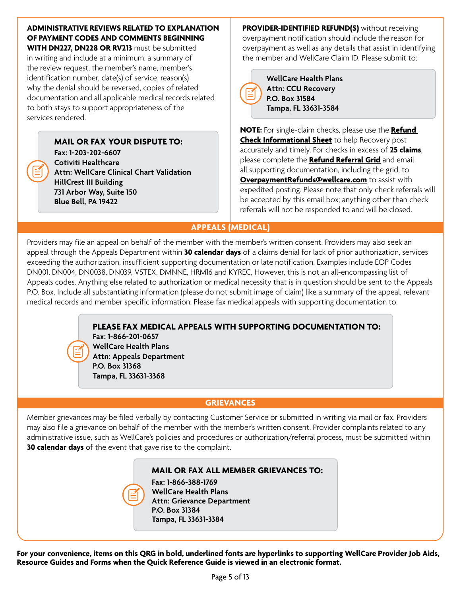# **ADMINISTRATIVE REVIEWS RELATED TO EXPLANATION OF PAYMENT CODES AND COMMENTS BEGINNING**

**WITH DN227, DN228 OR RV213** must be submitted in writing and include at a minimum: a summary of the review request, the member's name, member's identification number, date(s) of service, reason(s) why the denial should be reversed, copies of related documentation and all applicable medical records related to both stays to support appropriateness of the services rendered.

> **MAIL OR FAX YOUR DISPUTE TO: Fax: 1-203-202-6607 Cotiviti Healthcare Attn: WellCare Clinical Chart Validation HillCrest III Building 731 Arbor Way, Suite 150 Blue Bell, PA 19422**

**PROVIDER-IDENTIFIED REFUND(S)** without receiving overpayment notification should include the reason for overpayment as well as any details that assist in identifying the member and WellCare Claim ID. Please submit to:

|  | $\mathbf v$<br>٩ |
|--|------------------|
|  | A                |
|  | P.               |
|  | ï                |

**WellCare Health Plans Attn: CCU Recovery P.O. Box 31584 Tampa, FL 33631-3584**

**NOTE:** For single-claim checks, please use the **[Refund](https://www.wellcarenc.com/providers/medicaid/forms.html)  [Check Informational Sheet](https://www.wellcarenc.com/providers/medicaid/forms.html)** to help Recovery post accurately and timely. For checks in excess of **25 claims**, please complete the **[Refund Referral Grid](https://www.wellcarenc.com/providers/medicaid/forms.html)** and email all supporting documentation, including the grid, to **[OverpaymentRefunds@wellcare.com](mailto:OverpaymentRefunds%40wellcare.com?subject=)** to assist with expedited posting. Please note that only check referrals will be accepted by this email box; anything other than check referrals will not be responded to and will be closed.

# **APPEALS (MEDICAL)**

Providers may file an appeal on behalf of the member with the member's written consent. Providers may also seek an appeal through the Appeals Department within **30 calendar days** of a claims denial for lack of prior authorization, services exceeding the authorization, insufficient supporting documentation or late notification. Examples include EOP Codes DN001, DN004, DN0038, DN039, VSTEX, DMNNE, HRM16 and KYREC, However, this is not an all-encompassing list of Appeals codes. Anything else related to authorization or medical necessity that is in question should be sent to the Appeals P.O. Box. Include all substantiating information (please do not submit image of claim) like a summary of the appeal, relevant medical records and member specific information. Please fax medical appeals with supporting documentation to:

# **PLEASE FAX MEDICAL APPEALS WITH SUPPORTING DOCUMENTATION TO:**

**Fax: 1-866-201-0657 WellCare Health Plans Attn: Appeals Department P.O. Box 31368 Tampa, FL 33631-3368**

# **GRIEVANCES**

Member grievances may be filed verbally by contacting Customer Service or submitted in writing via mail or fax. Providers may also file a grievance on behalf of the member with the member's written consent. Provider complaints related to any administrative issue, such as WellCare's policies and procedures or authorization/referral process, must be submitted within **30 calendar days** of the event that gave rise to the complaint.

# **MAIL OR FAX ALL MEMBER GRIEVANCES TO:**

**Fax: 1-866-388-1769 WellCare Health Plans Attn: Grievance Department P.O. Box 31384 Tampa, FL 33631-3384**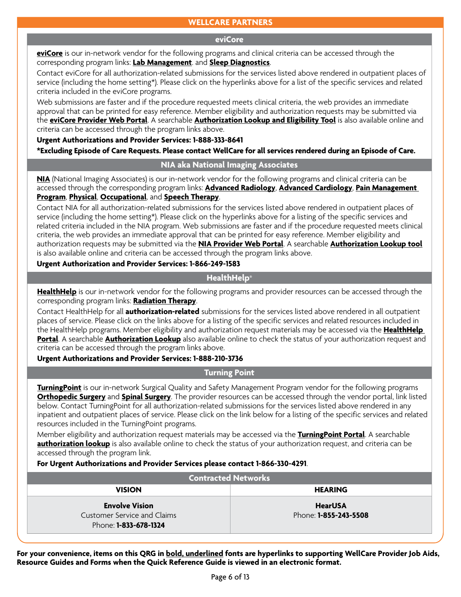## **WELLCARE PARTNERS**

#### **eviCore**

**[eviCore](https://www.evicore.com)** is our in-network vendor for the following programs and clinical criteria can be accessed through the corresponding program links: **[Lab Management](https://www.evicore.com/provider/clinical-guidelines)**. and **[Sleep Diagnostics](https://www.evicore.com/provider/clinical-guidelines)**.

Contact eviCore for all authorization-related submissions for the services listed above rendered in outpatient places of service (including the home setting\*). Please click on the hyperlinks above for a list of the specific services and related criteria included in the eviCore programs.

Web submissions are faster and if the procedure requested meets clinical criteria, the web provides an immediate approval that can be printed for easy reference. Member eligibility and authorization requests may be submitted via the **[eviCore Provider Web Portal](https://carriers.carecorenational.com/Preauthorization/screens/Login.aspx?ES=1)**. A searchable **[Authorization Lookup and Eligibility Tool](https://carriers.carecorenational.com/Preauthorization/screens/Login.aspx?Action=Eligibility)** is also available online and criteria can be accessed through the program links above.

#### **Urgent Authorizations and Provider Services: 1-888-333-8641**

**\*Excluding Episode of Care Requests. Please contact WellCare for all services rendered during an Episode of Care.**

#### **NIA aka National Imaging Associates**

**[NIA](https://www1.radmd.com/radmd-home.aspx)** (National Imaging Associates) is our in-network vendor for the following programs and clinical criteria can be accessed through the corresponding program links: **[Advanced Radiology](https://www1.radmd.com/solutions.aspx)**, **[Advanced Cardiology](https://www1.radmd.com/solutions.aspx)**, **[Pain Management](https://www.evicore.com/provider/clinical-guidelines)  [Program](https://www.evicore.com/provider/clinical-guidelines)**, **[Physical](https://www.evicore.com/provider/clinical-guidelines)**, **[Occupational](https://www.evicore.com/provider/clinical-guidelines)**, and **[Speech Therapy](https://www.evicore.com/provider/clinical-guidelines)**.

Contact NIA for all authorization-related submissions for the services listed above rendered in outpatient places of service (including the home setting\*). Please click on the hyperlinks above for a listing of the specific services and related criteria included in the NIA program. Web submissions are faster and if the procedure requested meets clinical criteria, the web provides an immediate approval that can be printed for easy reference. Member eligibility and authorization requests may be submitted via the **[NIA Provider Web Portal](https://www1.radmd.com/radmd-home.aspx)**. A searchable **[Authorization Lookup tool](https://www1.radmd.com/radmd-home.aspx)** is also available online and criteria can be accessed through the program links above.

#### **Urgent Authorization and Provider Services: 1-866-249-1583**

### **HealthHelp®**

**[HealthHelp](https://portal.healthhelp.com/landing/?p=ED090C587BF7817C)** is our in-network vendor for the following programs and provider resources can be accessed through the corresponding program links: **[Radiation Therapy](https://portal.healthhelp.com/landing/?p=ED090C587BF7817C)**.

Contact HealthHelp for all **authorization-related** submissions for the services listed above rendered in all outpatient places of service. Please click on the links above for a listing of the specific services and related resources included in the HealthHelp programs. Member eligibility and authorization request materials may be accessed via the **[HealthHelp](https://portal.healthhelp.com/landing/?p=ED090C587BF7817C)  [Portal](https://portal.healthhelp.com/landing/?p=ED090C587BF7817C)**. A searchable **[Authorization Lookup](https://portal.healthhelp.com/landing/?p=ED090C587BF7817C)** also available online to check the status of your authorization request and criteria can be accessed through the program links above.

**Urgent Authorizations and Provider Services: 1-888-210-3736**

**Turning Point**

**[TurningPoint](https://www.turningpoint-healthcare.com)** is our in-network Surgical Quality and Safety Management Program vendor for the following programs **[Orthopedic Surgery](https://myturningpoint-healthcare.com)** and **[Spinal Surgery](https://myturningpoint-healthcare.com/#!/)**. The provider resources can be accessed through the vendor portal, link listed below. Contact TurningPoint for all authorization-related submissions for the services listed above rendered in any inpatient and outpatient places of service. Please click on the link below for a listing of the specific services and related resources included in the TurningPoint programs.

Member eligibility and authorization request materials may be accessed via the **[TurningPoint Portal](https://myturningpoint-healthcare.com/#!/)**. A searchable [authorization lookup](https://myturningpoint-healthcare.com/#!/) is also available online to check the status of your authorization request, and criteria can be accessed through the program link.

**For Urgent Authorizations and Provider Services please contact 1-866-330-4291**.

| <b>Contracted Networks</b>                                                                  |                                                |  |
|---------------------------------------------------------------------------------------------|------------------------------------------------|--|
| <b>VISION</b>                                                                               | <b>HEARING</b>                                 |  |
| <b>Envolve Vision</b><br><b>Customer Service and Claims</b><br>Phone: <b>1-833-678-1324</b> | <b>HearUSA</b><br>Phone: <b>1-855-243-5508</b> |  |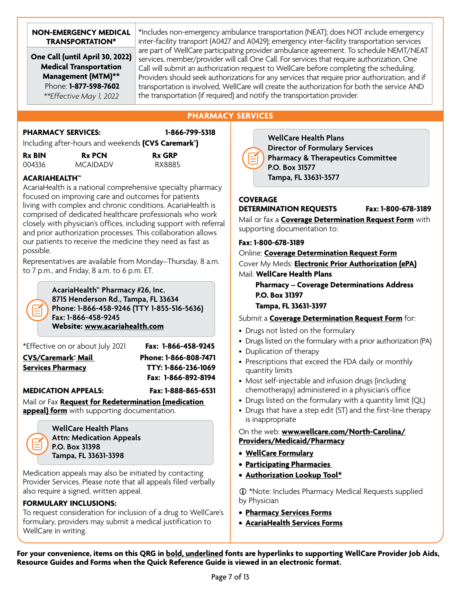#### **NON-EMERGENCY MEDICAL TRANSPORTATION\***

**One Call (until April 30, 2022) Medical Transportation Management (MTM)\*\*** Phone: **1-877-598-7602**  *\*\*Effective May 1, 2022*

\*Includes non-emergency ambulance transportation (NEAT); does NOT include emergency inter-facility transport (A0427 and A0429); emergency inter-facility transportation services are part of WellCare participating provider ambulance agreement. To schedule NEMT/NEAT services, member/provider will call One Call. For services that require authorization, One Call will submit an authorization request to WellCare before completing the scheduling. Providers should seek authorizations for any services that require prior authorization, and if transportation is involved, WellCare will create the authorization for both the service AND the transportation (if required) and notify the transportation provider.

# **PHARMACY SERVICES**

## **PHARMACY SERVICES: 1-866-799-5318**

Including after-hours and weekends **(CVS Caremark® )**

| <b>Rx BIN</b> | <b>Rx PCN</b>   | <b>Rx GRP</b> |
|---------------|-----------------|---------------|
| 004336        | <b>MCAIDADV</b> | RX8885        |

# **ACARIAHEALTH™**

AcariaHealth is a national comprehensive specialty pharmacy focused on improving care and outcomes for patients living with complex and chronic conditions. AcariaHealth is comprised of dedicated healthcare professionals who work closely with physician's offices, including support with referral and prior authorization processes. This collaboration allows our patients to receive the medicine they need as fast as possible.

Representatives are available from Monday–Thursday, 8 a.m. to 7 p.m., and Friday, 8 a.m. to 6 p.m. ET.

> **AcariaHealth™ Pharmacy #26, Inc. 8715 Henderson Rd., Tampa, FL 33634 Phone: 1-866-458-9246 (TTY 1-855-516-5636) Fax: 1-866-458-9245 Website: [www.acariahealth.com](http://www.acariahealth.com)**

\*Effective on or about July 2021 **Fax: 1-866-458-9245**

**[CVS/Caremark® Mail](https://www.caremark.com) Phone: 1-866-808-7471 [Services Pharmacy](https://www.caremark.com) TTY: 1-866-236-1069 Fax: 1-866-892-8194**

### **MEDICATION APPEALS: Fax: 1-888-865-6531**

Mail or Fax **[Request for Redetermination \(medication](https://www.wellcare.com/North-Carolina/Providers/Medicaid/Forms)  [appeal\) form](https://www.wellcare.com/North-Carolina/Providers/Medicaid/Forms)** with supporting documentation.



**WellCare Health Plans Attn: Medication Appeals P.O. Box 31398 Tampa, FL 33631-3398**

Medication appeals may also be initiated by contacting Provider Services. Please note that all appeals filed verbally also require a signed, written appeal.

### **FORMULARY INCLUSIONS:**

To request consideration for inclusion of a drug to WellCare's formulary, providers may submit a medical justification to WellCare in writing.



**WellCare Health Plans Director of Formulary Services Pharmacy & Therapeutics Committee P.O. Box 31577 Tampa, FL 33631-3577**

#### **COVERAGE DETERMINATION REQUESTS Fax: 1-800-678-3189**

Mail or fax a **[Coverage Determination Request Form](https://www.wellcarenc.com/providers/medicaid/forms.html)** with supporting documentation to:

### **Fax: 1-800-678-3189**

Online: **[Coverage Determination Request Form](https://www.wellcarenc.com/providers/medicaid/forms.html)** Cover My Meds: **[Electronic Prior Authorization \(ePA\)](https://www.covermymeds.com/main/prior-authorization-forms/)** Mail: **WellCare Health Plans**

 **Pharmacy – Coverage Determinations Address P.O. Box 31397**

#### **Tampa, FL 33631-3397**

Submit a **[Coverage Determination Request Form](https://www.wellcarenc.com/providers/medicaid/forms.html)** for:

- Drugs not listed on the formulary
- Drugs listed on the formulary with a prior authorization (PA)
- Duplication of therapy
- Prescriptions that exceed the FDA daily or monthly quantity limits
- Most self-injectable and infusion drugs (including chemotherapy) administered in a physician's office
- Drugs listed on the formulary with a quantity limit (QL)
- Drugs that have a step edit (ST) and the first-line therapy is inappropriate

#### On the web: **[www.wellcare.com/North-Carolina/](https://www.wellcarenc.com/providers/medicaid/pharmacy.html) [Providers/Medicaid/Pharmacy](https://www.wellcarenc.com/providers/medicaid/pharmacy.html)**

- **• [WellCare Formulary](https://www.wellcarenc.com/providers/medicaid/pharmacy.html)**
- **• [Participating Pharmacies](https://www.wellcarenc.com/providers/medicaid/pharmacy.html)**
- **• [Authorization Lookup Tool\\*](https://provider.wellcare.com)**

 \*Note: Includes Pharmacy Medical Requests supplied by Physician

- **• [Pharmacy Services Forms](https://www.wellcarenc.com/providers/medicaid/forms.html)**
- **• [AcariaHealth Services Forms](https://acariahealth.envolvehealth.com)**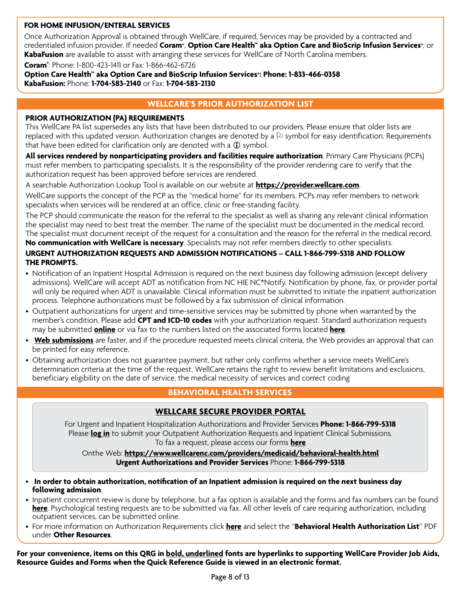#### **FOR HOME INFUSION/ENTERAL SERVICES**

Once Authorization Approval is obtained through WellCare, if required, Services may be provided by a contracted and credentialed infusion provider. If needed **Coram®**, **Option Care Health™ aka Option Care and BioScrip Infusion Services®**, or **KabaFusion** are available to assist with arranging these services for WellCare of North Carolina members.

**Coram®** : Phone: 1-800-423-1411 or Fax: 1-866-462-6726

**Option Care Health™ aka Option Care and BioScrip Infusion Services®: Phone: 1-833-466-0358 KabaFusion:** Phone: **1-704-583-2140** or Fax: **1-704-583-2130**

## **WELLCARE'S PRIOR AUTHORIZATION LIST**

#### **PRIOR AUTHORIZATION (PA) REQUIREMENTS**

This WellCare PA list supersedes any lists that have been distributed to our providers. Please ensure that older lists are replaced with this updated version. Authorization changes are denoted by a  $\uplus$  symbol for easy identification. Requirements that have been edited for clarification only are denoted with a  $\Omega$  symbol.

**All services rendered by nonparticipating providers and facilities require authorization**. Primary Care Physicians (PCPs) must refer members to participating specialists. It is the responsibility of the provider rendering care to verify that the authorization request has been approved before services are rendered.

A searchable Authorization Lookup Tool is available on our website at **<https://provider.wellcare.com>**.

WellCare supports the concept of the PCP as the "medical home" for its members. PCPs may refer members to network specialists when services will be rendered at an office, clinic or free-standing facility.

The PCP should communicate the reason for the referral to the specialist as well as sharing any relevant clinical information the specialist may need to best treat the member. The name of the specialist must be documented in the medical record. The specialist must document receipt of the request for a consultation and the reason for the referral in the medical record. **No communication with WellCare is necessary**. Specialists may not refer members directly to other specialists.

## **URGENT AUTHORIZATION REQUESTS AND ADMISSION NOTIFICATIONS – CALL 1-866-799-5318 AND FOLLOW THE PROMPTS.**

- Notification of an Inpatient Hospital Admission is required on the next business day following admission (except delivery admissions). WellCare will accept ADT as notification from NC HIE NC\*Notify. Notification by phone, fax, or provider portal will only be required when ADT is unavailable. Clinical information must be submitted to initiate the inpatient authorization process. Telephone authorizations must be followed by a fax submission of clinical information.
- Outpatient authorizations for urgent and time-sensitive services may be submitted by phone when warranted by the member's condition. Please add **CPT and ICD-10 codes** with your authorization request. Standard authorization requests may be submitted **[online](https://provider.wellcare.com)** or via fax to the numbers listed on the associated forms located **[here](https://www.wellcarenc.com/providers/medicaid/forms.html)**.
- **[Web submissions](https://provider.wellcare.com)** are faster, and if the procedure requested meets clinical criteria, the Web provides an approval that can be printed for easy reference.
- Obtaining authorization does not guarantee payment, but rather only confirms whether a service meets WellCare's determination criteria at the time of the request. WellCare retains the right to review benefit limitations and exclusions, beneficiary eligibility on the date of service, the medical necessity of services and correct coding

## **BEHAVIORAL HEALTH SERVICES**

### **[WELLCARE SECURE PROVIDER PORTAL](https://provider.wellcare.com)**

For Urgent and Inpatient Hospitalization Authorizations and Provider Services **Phone: 1-866-799-5318** Please **[log in](https://provider.wellcare.com)** to submit your Outpatient Authorization Requests and Inpatient Clinical Submissions. To fax a request, please access our forms **[here](https://www.wellcarenc.com/providers/medicaid/forms.html)**

Onthe Web[:](http://www.wellcare.com/North-Carolina/Providers/Medicaid/Behavioral-Health) **<https://www.wellcarenc.com/providers/medicaid/behavioral-health.html> Urgent Authorizations and Provider Services** Phone: **1-866-799-5318**

- **In order to obtain authorization, notification of an Inpatient admission is required on the next business day following admission**.
- Inpatient concurrent review is done by telephone, but a fax option is available and the forms and fax numbers can be found **[here](https://www.wellcarenc.com/providers/medicaid/forms.html)**. Psychological testing requests are to be submitted via fax. All other levels of care requiring authorization, including outpatient services, can be submitted online.
- For more information on Authorization Requirements click **[here](https://www.wellcarenc.com/providers/medicaid/behavioral-health.html)** and select the "**Behavioral Health Authorization List**" PDF under **Other Resources**.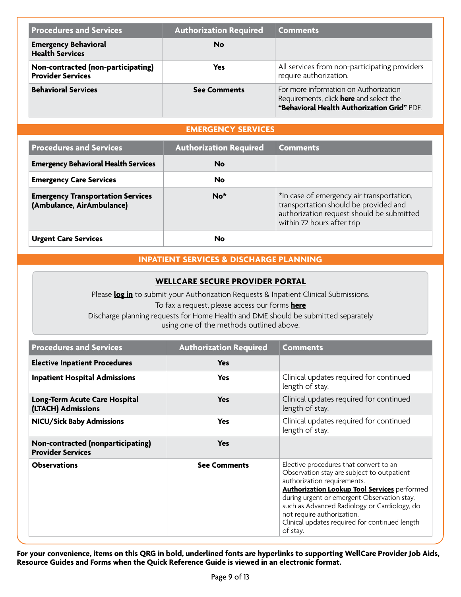| <b>Procedures and Services</b>                                 | <b>Authorization Required</b> | <b>Comments</b>                                                                                                                        |
|----------------------------------------------------------------|-------------------------------|----------------------------------------------------------------------------------------------------------------------------------------|
| <b>Emergency Behavioral</b><br><b>Health Services</b>          | No                            |                                                                                                                                        |
| Non-contracted (non-participating)<br><b>Provider Services</b> | <b>Yes</b>                    | All services from non-participating providers<br>require authorization.                                                                |
| <b>Behavioral Services</b>                                     | <b>See Comments</b>           | For more information on Authorization<br>Requirements, click <b>here</b> and select the<br>"Behavioral Health Authorization Grid" PDF. |

## **EMERGENCY SERVICES**

| <b>Procedures and Services</b>                                        | <b>Authorization Required</b> | <b>Comments</b>                                                                                                                                               |
|-----------------------------------------------------------------------|-------------------------------|---------------------------------------------------------------------------------------------------------------------------------------------------------------|
| <b>Emergency Behavioral Health Services</b>                           | No                            |                                                                                                                                                               |
| <b>Emergency Care Services</b>                                        | No                            |                                                                                                                                                               |
| <b>Emergency Transportation Services</b><br>(Ambulance, AirAmbulance) | $No*$                         | *In case of emergency air transportation,<br>transportation should be provided and<br>authorization request should be submitted<br>within 72 hours after trip |
| <b>Urgent Care Services</b>                                           | No                            |                                                                                                                                                               |

# **INPATIENT SERVICES & DISCHARGE PLANNING**

### **[WELLCARE SECURE PROVIDER PORTAL](https://provider.wellcare.com)**

Please **[log in](http://provider.wellcare.com)** to submit your Authorization Requests & Inpatient Clinical Submissions.

To fax a request, please access our forms **[here](https://www.wellcarenc.com/providers/medicaid/forms.html)**

Discharge planning requests for Home Health and DME should be submitted separately using one of the methods outlined above.

| <b>Procedures and Services</b>                                | <b>Authorization Required</b> | <b>Comments</b>                                                                                                                                                                                                                                                                                                                                                       |
|---------------------------------------------------------------|-------------------------------|-----------------------------------------------------------------------------------------------------------------------------------------------------------------------------------------------------------------------------------------------------------------------------------------------------------------------------------------------------------------------|
| <b>Elective Inpatient Procedures</b>                          | <b>Yes</b>                    |                                                                                                                                                                                                                                                                                                                                                                       |
| <b>Inpatient Hospital Admissions</b>                          | <b>Yes</b>                    | Clinical updates required for continued<br>length of stay.                                                                                                                                                                                                                                                                                                            |
| Long-Term Acute Care Hospital<br>(LTACH) Admissions           | <b>Yes</b>                    | Clinical updates required for continued<br>length of stay.                                                                                                                                                                                                                                                                                                            |
| <b>NICU/Sick Baby Admissions</b>                              | Yes                           | Clinical updates required for continued<br>length of stay.                                                                                                                                                                                                                                                                                                            |
| Non-contracted (nonparticipating)<br><b>Provider Services</b> | <b>Yes</b>                    |                                                                                                                                                                                                                                                                                                                                                                       |
| <b>Observations</b>                                           | <b>See Comments</b>           | Elective procedures that convert to an<br>Observation stay are subject to outpatient<br>authorization requirements.<br><b>Authorization Lookup Tool Services performed</b><br>during urgent or emergent Observation stay,<br>such as Advanced Radiology or Cardiology, do<br>not require authorization.<br>Clinical updates required for continued length<br>of stay. |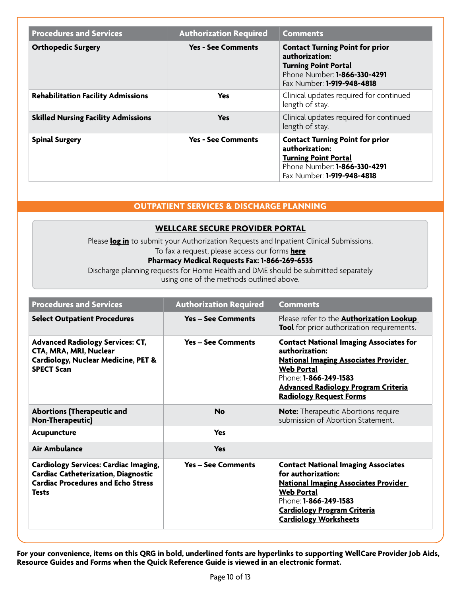| <b>Procedures and Services</b>             | <b>Authorization Required</b> | <b>Comments</b>                                                                                                                                       |
|--------------------------------------------|-------------------------------|-------------------------------------------------------------------------------------------------------------------------------------------------------|
| <b>Orthopedic Surgery</b>                  | <b>Yes - See Comments</b>     | <b>Contact Turning Point for prior</b><br>authorization:<br><b>Turning Point Portal</b><br>Phone Number: 1-866-330-4291<br>Fax Number: 1-919-948-4818 |
| <b>Rehabilitation Facility Admissions</b>  | Yes                           | Clinical updates required for continued<br>length of stay.                                                                                            |
| <b>Skilled Nursing Facility Admissions</b> | <b>Yes</b>                    | Clinical updates required for continued<br>length of stay.                                                                                            |
| <b>Spinal Surgery</b>                      | <b>Yes - See Comments</b>     | <b>Contact Turning Point for prior</b><br>authorization:<br><b>Turning Point Portal</b><br>Phone Number: 1-866-330-4291<br>Fax Number: 1-919-948-4818 |

## **OUTPATIENT SERVICES & DISCHARGE PLANNING**

### **[WELLCARE SECURE PROVIDER PORTAL](https://provider.wellcare.com)**

Please **[log in](http://provider.wellcare.com/)** to submit your Authorization Requests and Inpatient Clinical Submissions. To fax a request, please access our forms **[here](https://www.wellcarenc.com/providers/medicaid/forms.html)**

# **Pharmacy Medical Requests Fax: 1-866-269-6535**

Discharge planning requests for Home Health and DME should be submitted separately using one of the methods outlined above.

| <b>Procedures and Services</b>                                                                                                                          | <b>Authorization Required</b> | <b>Comments</b>                                                                                                                                                                                                                                      |
|---------------------------------------------------------------------------------------------------------------------------------------------------------|-------------------------------|------------------------------------------------------------------------------------------------------------------------------------------------------------------------------------------------------------------------------------------------------|
| <b>Select Outpatient Procedures</b>                                                                                                                     | <b>Yes – See Comments</b>     | Please refer to the <b>Authorization Lookup</b><br>Tool for prior authorization requirements.                                                                                                                                                        |
| <b>Advanced Radiology Services: CT,</b><br>CTA, MRA, MRI, Nuclear<br>Cardiology, Nuclear Medicine, PET &<br><b>SPECT Scan</b>                           | <b>Yes - See Comments</b>     | <b>Contact National Imaging Associates for</b><br>authorization:<br><b>National Imaging Associates Provider</b><br><b>Web Portal</b><br>Phone: <b>1-866-249-1583</b><br><b>Advanced Radiology Program Criteria</b><br><b>Radiology Request Forms</b> |
| <b>Abortions (Therapeutic and</b><br><b>Non-Therapeutic)</b>                                                                                            | <b>No</b>                     | <b>Note:</b> Therapeutic Abortions require<br>submission of Abortion Statement.                                                                                                                                                                      |
| Acupuncture                                                                                                                                             | <b>Yes</b>                    |                                                                                                                                                                                                                                                      |
| Air Ambulance                                                                                                                                           | <b>Yes</b>                    |                                                                                                                                                                                                                                                      |
| <b>Cardiology Services: Cardiac Imaging,</b><br><b>Cardiac Catheterization, Diagnostic</b><br><b>Cardiac Procedures and Echo Stress</b><br><b>Tests</b> | <b>Yes – See Comments</b>     | <b>Contact National Imaging Associates</b><br>for authorization:<br><b>National Imaging Associates Provider</b><br><b>Web Portal</b><br>Phone: 1-866-249-1583<br><b>Cardiology Program Criteria</b><br><b>Cardiology Worksheets</b>                  |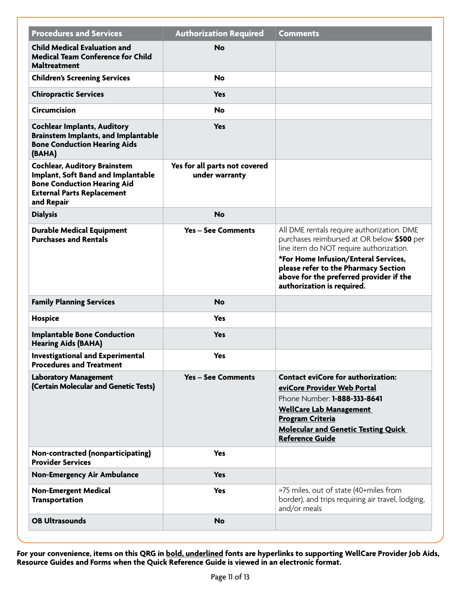| <b>Procedures and Services</b>                                                                                                                                     | <b>Authorization Required</b>                   | <b>Comments</b>                                                                                                                                                                                                                                                                              |
|--------------------------------------------------------------------------------------------------------------------------------------------------------------------|-------------------------------------------------|----------------------------------------------------------------------------------------------------------------------------------------------------------------------------------------------------------------------------------------------------------------------------------------------|
| <b>Child Medical Evaluation and</b><br><b>Medical Team Conference for Child</b><br><b>Maltreatment</b>                                                             | No                                              |                                                                                                                                                                                                                                                                                              |
| <b>Children's Screening Services</b>                                                                                                                               | <b>No</b>                                       |                                                                                                                                                                                                                                                                                              |
| <b>Chiropractic Services</b>                                                                                                                                       | <b>Yes</b>                                      |                                                                                                                                                                                                                                                                                              |
| <b>Circumcision</b>                                                                                                                                                | <b>No</b>                                       |                                                                                                                                                                                                                                                                                              |
| <b>Cochlear Implants, Auditory</b><br><b>Brainstem Implants, and Implantable</b><br><b>Bone Conduction Hearing Aids</b><br>(BAHA)                                  | <b>Yes</b>                                      |                                                                                                                                                                                                                                                                                              |
| <b>Cochlear, Auditory Brainstem</b><br>Implant, Soft Band and Implantable<br><b>Bone Conduction Hearing Aid</b><br><b>External Parts Replacement</b><br>and Repair | Yes for all parts not covered<br>under warranty |                                                                                                                                                                                                                                                                                              |
| <b>Dialysis</b>                                                                                                                                                    | <b>No</b>                                       |                                                                                                                                                                                                                                                                                              |
| <b>Durable Medical Equipment</b><br><b>Purchases and Rentals</b>                                                                                                   | <b>Yes - See Comments</b>                       | All DME rentals require authorization. DME<br>purchases reimbursed at OR below \$500 per<br>line item do NOT require authorization.<br>*For Home Infusion/Enteral Services,<br>please refer to the Pharmacy Section<br>above for the preferred provider if the<br>authorization is required. |
| <b>Family Planning Services</b>                                                                                                                                    | <b>No</b>                                       |                                                                                                                                                                                                                                                                                              |
| <b>Hospice</b>                                                                                                                                                     | <b>Yes</b>                                      |                                                                                                                                                                                                                                                                                              |
| <b>Implantable Bone Conduction</b><br><b>Hearing Aids (BAHA)</b>                                                                                                   | <b>Yes</b>                                      |                                                                                                                                                                                                                                                                                              |
| <b>Investigational and Experimental</b><br><b>Procedures and Treatment</b>                                                                                         | <b>Yes</b>                                      |                                                                                                                                                                                                                                                                                              |
| <b>Laboratory Management</b><br>(Certain Molecular and Genetic Tests)                                                                                              | <b>Yes - See Comments</b>                       | <b>Contact eviCore for authorization:</b><br>eviCore Provider Web Portal<br>Phone Number: <b>1-888-333-8641</b><br><b>WellCare Lab Management</b><br><b>Program Criteria</b><br><b>Molecular and Genetic Testing Quick</b><br><b>Reference Guide</b>                                         |
| Non-contracted (nonparticipating)<br><b>Provider Services</b>                                                                                                      | <b>Yes</b>                                      |                                                                                                                                                                                                                                                                                              |
| <b>Non-Emergency Air Ambulance</b>                                                                                                                                 | <b>Yes</b>                                      |                                                                                                                                                                                                                                                                                              |
| <b>Non-Emergent Medical</b><br><b>Transportation</b>                                                                                                               | <b>Yes</b>                                      | >75 miles, out of state (40+miles from<br>border), and trips requiring air travel, lodging,<br>and/or meals                                                                                                                                                                                  |
| <b>OB Ultrasounds</b>                                                                                                                                              | <b>No</b>                                       |                                                                                                                                                                                                                                                                                              |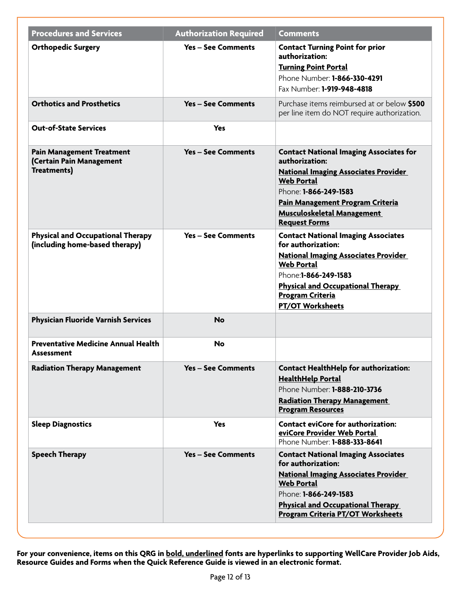| <b>Procedures and Services</b>                                                     | <b>Authorization Required</b> | <b>Comments</b>                                                                                                                                                                                                                                                 |
|------------------------------------------------------------------------------------|-------------------------------|-----------------------------------------------------------------------------------------------------------------------------------------------------------------------------------------------------------------------------------------------------------------|
| <b>Orthopedic Surgery</b>                                                          | <b>Yes - See Comments</b>     | <b>Contact Turning Point for prior</b><br>authorization:<br><b>Turning Point Portal</b><br>Phone Number: 1-866-330-4291<br>Fax Number: 1-919-948-4818                                                                                                           |
| <b>Orthotics and Prosthetics</b>                                                   | <b>Yes – See Comments</b>     | Purchase items reimbursed at or below \$500<br>per line item do NOT require authorization.                                                                                                                                                                      |
| <b>Out-of-State Services</b>                                                       | <b>Yes</b>                    |                                                                                                                                                                                                                                                                 |
| <b>Pain Management Treatment</b><br>(Certain Pain Management<br><b>Treatments)</b> | <b>Yes - See Comments</b>     | <b>Contact National Imaging Associates for</b><br>authorization:<br><b>National Imaging Associates Provider</b><br><b>Web Portal</b><br>Phone: 1-866-249-1583<br>Pain Management Program Criteria<br><b>Musculoskeletal Management</b><br><b>Request Forms</b>  |
| <b>Physical and Occupational Therapy</b><br>(including home-based therapy)         | <b>Yes - See Comments</b>     | <b>Contact National Imaging Associates</b><br>for authorization:<br><b>National Imaging Associates Provider</b><br><b>Web Portal</b><br>Phone: 1-866-249-1583<br><b>Physical and Occupational Therapy</b><br><b>Program Criteria</b><br><b>PT/OT Worksheets</b> |
| <b>Physician Fluoride Varnish Services</b>                                         | <b>No</b>                     |                                                                                                                                                                                                                                                                 |
| <b>Preventative Medicine Annual Health</b><br>Assessment                           | <b>No</b>                     |                                                                                                                                                                                                                                                                 |
| <b>Radiation Therapy Management</b>                                                | <b>Yes - See Comments</b>     | <b>Contact HealthHelp for authorization:</b><br><b>HealthHelp Portal</b><br>Phone Number: 1-888-210-3736<br><b>Radiation Therapy Management</b><br><b>Program Resources</b>                                                                                     |
| <b>Sleep Diagnostics</b>                                                           | Yes                           | <b>Contact eviCore for authorization:</b><br>eviCore Provider Web Portal<br>Phone Number: <b>1-888-333-8641</b>                                                                                                                                                 |
| <b>Speech Therapy</b>                                                              | <b>Yes - See Comments</b>     | <b>Contact National Imaging Associates</b><br>for authorization:<br><b>National Imaging Associates Provider</b><br><b>Web Portal</b><br>Phone: <b>1-866-249-1583</b><br><b>Physical and Occupational Therapy</b><br><b>Program Criteria PT/OT Worksheets</b>    |